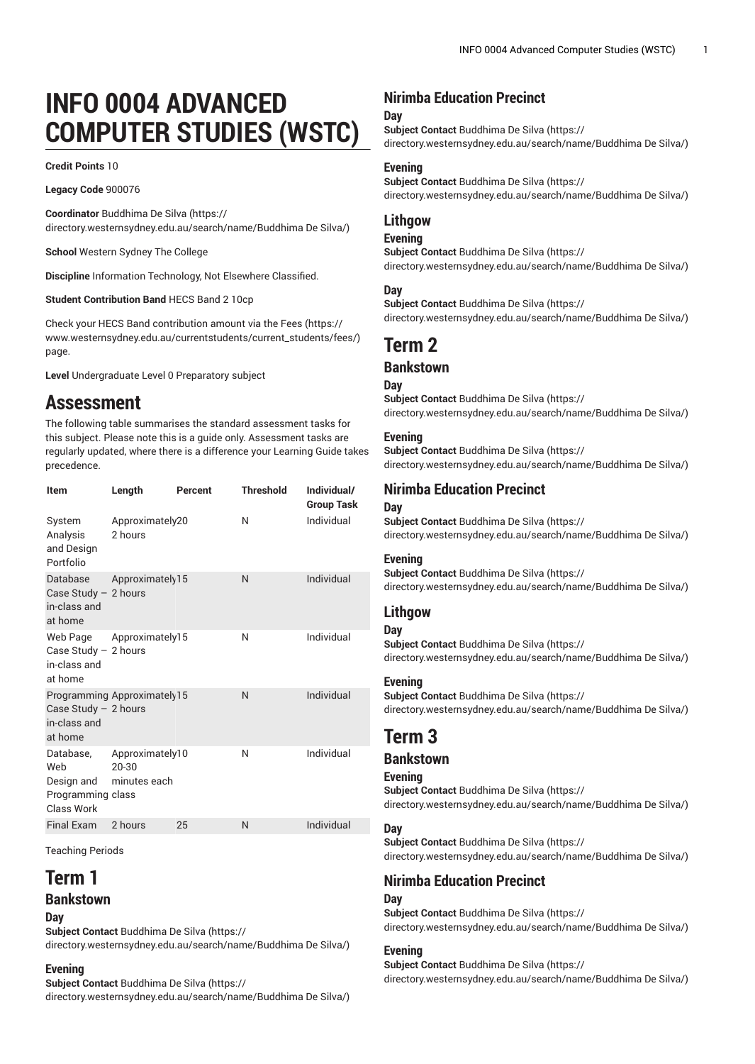# **INFO 0004 ADVANCED COMPUTER STUDIES (WSTC)**

**Credit Points** 10

**Legacy Code** 900076

**Coordinator** [Buddhima](https://directory.westernsydney.edu.au/search/name/Buddhima De Silva/) De Silva ([https://](https://directory.westernsydney.edu.au/search/name/Buddhima De Silva/) [directory.westernsydney.edu.au/search/name/Buddhima](https://directory.westernsydney.edu.au/search/name/Buddhima De Silva/) De Silva/)

**School** Western Sydney The College

**Discipline** Information Technology, Not Elsewhere Classified.

**Student Contribution Band** HECS Band 2 10cp

Check your HECS Band contribution amount via the [Fees \(https://](https://www.westernsydney.edu.au/currentstudents/current_students/fees/) [www.westernsydney.edu.au/currentstudents/current\\_students/fees/\)](https://www.westernsydney.edu.au/currentstudents/current_students/fees/) page.

**Level** Undergraduate Level 0 Preparatory subject

## **Assessment**

The following table summarises the standard assessment tasks for this subject. Please note this is a guide only. Assessment tasks are regularly updated, where there is a difference your Learning Guide takes precedence.

| Item                                                              | Length                                   | Percent | <b>Threshold</b> | Individual/<br><b>Group Task</b> |
|-------------------------------------------------------------------|------------------------------------------|---------|------------------|----------------------------------|
| System<br>Analysis<br>and Design<br>Portfolio                     | Approximately20<br>2 hours               |         | N                | Individual                       |
| Database<br>Case Study $-2$ hours<br>in-class and<br>at home      | Approximately 15                         |         | N                | Individual                       |
| Web Page<br>Case Study $-2$ hours<br>in-class and<br>at home      | Approximately15                          |         | N                | Individual                       |
| Case Study $-2$ hours<br>in-class and<br>at home                  | Programming Approximately 15             |         | N                | Individual                       |
| Database,<br>Web<br>Design and<br>Programming class<br>Class Work | Approximately10<br>20-30<br>minutes each |         | N                | Individual                       |
| <b>Final Exam</b>                                                 | 2 hours                                  | 25      | N                | Individual                       |

Teaching Periods

## **Term 1**

## **Bankstown**

**Day**

**Subject Contact** [Buddhima](https://directory.westernsydney.edu.au/search/name/Buddhima De Silva/) De Silva ([https://](https://directory.westernsydney.edu.au/search/name/Buddhima De Silva/) [directory.westernsydney.edu.au/search/name/Buddhima](https://directory.westernsydney.edu.au/search/name/Buddhima De Silva/) De Silva/)

#### **Evening**

**Subject Contact** [Buddhima](https://directory.westernsydney.edu.au/search/name/Buddhima De Silva/) De Silva ([https://](https://directory.westernsydney.edu.au/search/name/Buddhima De Silva/) [directory.westernsydney.edu.au/search/name/Buddhima](https://directory.westernsydney.edu.au/search/name/Buddhima De Silva/) De Silva/)

## **Nirimba Education Precinct**

#### **Day**

**Subject Contact** [Buddhima](https://directory.westernsydney.edu.au/search/name/Buddhima De Silva/) De Silva ([https://](https://directory.westernsydney.edu.au/search/name/Buddhima De Silva/) [directory.westernsydney.edu.au/search/name/Buddhima](https://directory.westernsydney.edu.au/search/name/Buddhima De Silva/) De Silva/)

#### **Evening**

**Subject Contact** [Buddhima](https://directory.westernsydney.edu.au/search/name/Buddhima De Silva/) De Silva ([https://](https://directory.westernsydney.edu.au/search/name/Buddhima De Silva/) [directory.westernsydney.edu.au/search/name/Buddhima](https://directory.westernsydney.edu.au/search/name/Buddhima De Silva/) De Silva/)

## **Lithgow**

#### **Evening**

**Subject Contact** [Buddhima](https://directory.westernsydney.edu.au/search/name/Buddhima De Silva/) De Silva ([https://](https://directory.westernsydney.edu.au/search/name/Buddhima De Silva/) [directory.westernsydney.edu.au/search/name/Buddhima](https://directory.westernsydney.edu.au/search/name/Buddhima De Silva/) De Silva/)

#### **Day**

**Subject Contact** [Buddhima](https://directory.westernsydney.edu.au/search/name/Buddhima De Silva/) De Silva ([https://](https://directory.westernsydney.edu.au/search/name/Buddhima De Silva/)

[directory.westernsydney.edu.au/search/name/Buddhima](https://directory.westernsydney.edu.au/search/name/Buddhima De Silva/) De Silva/)

## **Term 2**

## **Bankstown**

**Day Subject Contact** [Buddhima](https://directory.westernsydney.edu.au/search/name/Buddhima De Silva/) De Silva ([https://](https://directory.westernsydney.edu.au/search/name/Buddhima De Silva/) [directory.westernsydney.edu.au/search/name/Buddhima](https://directory.westernsydney.edu.au/search/name/Buddhima De Silva/) De Silva/)

#### **Evening**

**Subject Contact** [Buddhima](https://directory.westernsydney.edu.au/search/name/Buddhima De Silva/) De Silva ([https://](https://directory.westernsydney.edu.au/search/name/Buddhima De Silva/) [directory.westernsydney.edu.au/search/name/Buddhima](https://directory.westernsydney.edu.au/search/name/Buddhima De Silva/) De Silva/)

## **Nirimba Education Precinct**

#### **Day**

**Subject Contact** [Buddhima](https://directory.westernsydney.edu.au/search/name/Buddhima De Silva/) De Silva ([https://](https://directory.westernsydney.edu.au/search/name/Buddhima De Silva/) [directory.westernsydney.edu.au/search/name/Buddhima](https://directory.westernsydney.edu.au/search/name/Buddhima De Silva/) De Silva/)

#### **Evening**

**Subject Contact** [Buddhima](https://directory.westernsydney.edu.au/search/name/Buddhima De Silva/) De Silva ([https://](https://directory.westernsydney.edu.au/search/name/Buddhima De Silva/) [directory.westernsydney.edu.au/search/name/Buddhima](https://directory.westernsydney.edu.au/search/name/Buddhima De Silva/) De Silva/)

#### **Lithgow**

#### **Day**

**Subject Contact** [Buddhima](https://directory.westernsydney.edu.au/search/name/Buddhima De Silva/) De Silva ([https://](https://directory.westernsydney.edu.au/search/name/Buddhima De Silva/) [directory.westernsydney.edu.au/search/name/Buddhima](https://directory.westernsydney.edu.au/search/name/Buddhima De Silva/) De Silva/)

#### **Evening**

**Subject Contact** [Buddhima](https://directory.westernsydney.edu.au/search/name/Buddhima De Silva/) De Silva ([https://](https://directory.westernsydney.edu.au/search/name/Buddhima De Silva/) [directory.westernsydney.edu.au/search/name/Buddhima](https://directory.westernsydney.edu.au/search/name/Buddhima De Silva/) De Silva/)

## **Term 3**

#### **Bankstown**

#### **Evening**

**Subject Contact** [Buddhima](https://directory.westernsydney.edu.au/search/name/Buddhima De Silva/) De Silva ([https://](https://directory.westernsydney.edu.au/search/name/Buddhima De Silva/) [directory.westernsydney.edu.au/search/name/Buddhima](https://directory.westernsydney.edu.au/search/name/Buddhima De Silva/) De Silva/)

#### **Day**

**Subject Contact** [Buddhima](https://directory.westernsydney.edu.au/search/name/Buddhima De Silva/) De Silva ([https://](https://directory.westernsydney.edu.au/search/name/Buddhima De Silva/) [directory.westernsydney.edu.au/search/name/Buddhima](https://directory.westernsydney.edu.au/search/name/Buddhima De Silva/) De Silva/)

### **Nirimba Education Precinct**

#### **Day**

**Subject Contact** [Buddhima](https://directory.westernsydney.edu.au/search/name/Buddhima De Silva/) De Silva ([https://](https://directory.westernsydney.edu.au/search/name/Buddhima De Silva/) [directory.westernsydney.edu.au/search/name/Buddhima](https://directory.westernsydney.edu.au/search/name/Buddhima De Silva/) De Silva/)

#### **Evening**

**Subject Contact** [Buddhima](https://directory.westernsydney.edu.au/search/name/Buddhima De Silva/) De Silva ([https://](https://directory.westernsydney.edu.au/search/name/Buddhima De Silva/) [directory.westernsydney.edu.au/search/name/Buddhima](https://directory.westernsydney.edu.au/search/name/Buddhima De Silva/) De Silva/)